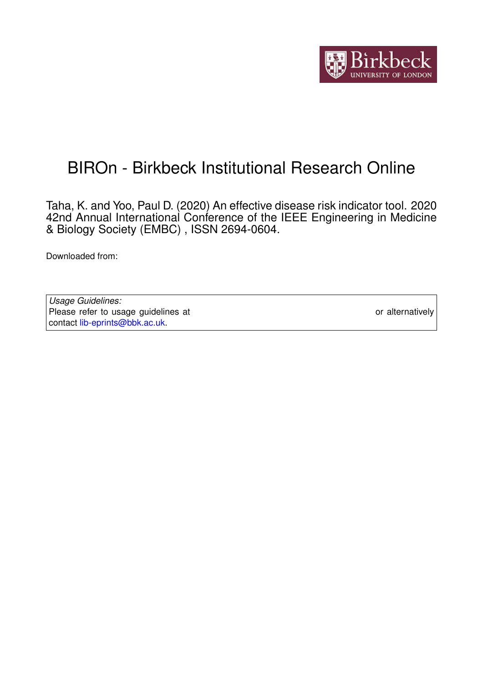

# BIROn - Birkbeck Institutional Research Online

Taha, K. and Yoo, Paul D. (2020) An effective disease risk indicator tool. 2020 42nd Annual International Conference of the IEEE Engineering in Medicine & Biology Society (EMBC) , ISSN 2694-0604.

Downloaded from: <https://eprints.bbk.ac.uk/id/eprint/31652/>

*Usage Guidelines:* Please refer to usage guidelines at <https://eprints.bbk.ac.uk/policies.html> or alternatively contact [lib-eprints@bbk.ac.uk.](mailto:lib-eprints@bbk.ac.uk)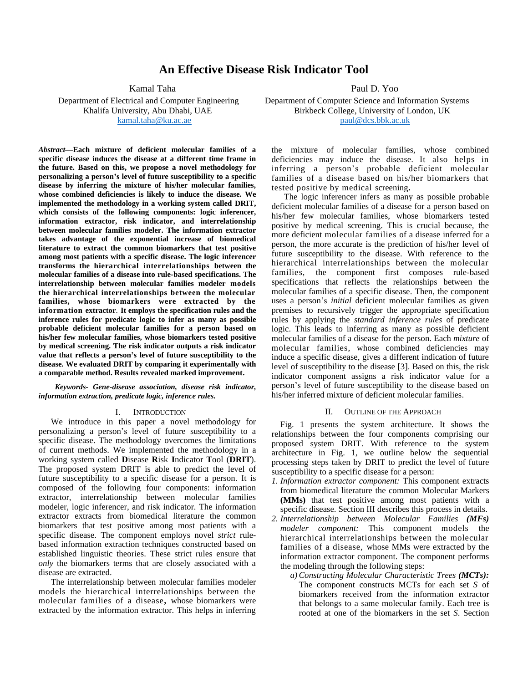# **An Effective Disease Risk Indicator Tool**

Kamal Taha Paul D. Yoo

*Abstract***—Each mixture of deficient molecular families of a specific disease induces the disease at a different time frame in the future. Based on this, we propose a novel methodology for personalizing a person's level of future susceptibility to a specific disease by inferring the mixture of his/her molecular families, whose combined deficiencies is likely to induce the disease. We implemented the methodology in a working system called DRIT, which consists of the following components: logic inferencer, information extractor, risk indicator, and interrelationship between molecular families modeler. The information extractor takes advantage of the exponential increase of biomedical literature to extract the common biomarkers that test positive among most patients with a specific disease. The logic inferencer transforms the hierarchical interrelationships between the molecular families of a disease into rule-based specifications. The interrelationship between molecular families modeler models the hierarchical interrelationships between the molecular families, whose biomarkers were extracted by the information extractor**. **It employs the specification rules and the inference rules for predicate logic to infer as many as possible probable deficient molecular families for a person based on his/her few molecular families, whose biomarkers tested positive by medical screening. The risk indicator outputs a risk indicator value that reflects a person's level of future susceptibility to the disease. We evaluated DRIT by comparing it experimentally with a comparable method. Results revealed marked improvement.**

## *Keywords- Gene-disease association, disease risk indicator, information extraction, predicate logic, inference rules.*

#### I. INTRODUCTION

We introduce in this paper a novel methodology for personalizing a person's level of future susceptibility to a specific disease. The methodology overcomes the limitations of current methods. We implemented the methodology in a working system called **D**isease **R**isk **I**ndicator **T**ool (**DRIT**). The proposed system DRIT is able to predict the level of future susceptibility to a specific disease for a person. It is composed of the following four components: information extractor, interrelationship between molecular families modeler, logic inferencer, and risk indicator. The information extractor extracts from biomedical literature the common biomarkers that test positive among most patients with a specific disease. The component employs novel *strict* rulebased information extraction techniques constructed based on established linguistic theories. These strict rules ensure that *only* the biomarkers terms that are closely associated with a disease are extracted.

The interrelationship between molecular families modeler models the hierarchical interrelationships between the molecular families of a disease**,** whose biomarkers were extracted by the information extractor. This helps in inferring

Department of Electrical and Computer Engineering Department of Computer Science and Information Systems Khalifa University, Abu Dhabi, UAE Birkbeck College, University of London, UK [kamal.taha@ku.ac.ae](mailto:kamal.taha@ku.ac.ae) [paul@dcs.bbk.ac.uk](mailto:paul@dcs.bbk.ac.uk)

> the mixture of molecular families, whose combined deficiencies may induce the disease. It also helps in inferring a person's probable deficient molecular families of a disease based on his/her biomarkers that tested positive by medical screening**.**

> The logic inferencer infers as many as possible probable deficient molecular families of a disease for a person based on his/her few molecular families, whose biomarkers tested positive by medical screening. This is crucial because, the more deficient molecular families of a disease inferred for a person, the more accurate is the prediction of his/her level of future susceptibility to the disease. With reference to the hierarchical interrelationships between the molecular families, the component first composes rule-based specifications that reflects the relationships between the molecular families of a specific disease. Then, the component uses a person's *initial* deficient molecular families as given premises to recursively trigger the appropriate specification rules by applying the *standard inference rules* of predicate logic. This leads to inferring as many as possible deficient molecular families of a disease for the person. Each *mixture* of molecular families, whose combined deficiencies may induce a specific disease, gives a different indication of future level of susceptibility to the disease [3]. Based on this, the risk indicator component assigns a risk indicator value for a person's level of future susceptibility to the disease based on his/her inferred mixture of deficient molecular families.

# II. OUTLINE OF THE APPROACH

Fig. 1 presents the system architecture. It shows the relationships between the four components comprising our proposed system DRIT. With reference to the system architecture in Fig. 1, we outline below the sequential processing steps taken by DRIT to predict the level of future susceptibility to a specific disease for a person:

- *1. Information extractor component:* This component extracts from biomedical literature the common Molecular Markers **(MMs)** that test positive among most patients with a specific disease. Section III describes this process in details.
- *2. Interrelationship between Molecular Families (MFs) modeler component:* This component models the hierarchical interrelationships between the molecular families of a disease, whose MMs were extracted by the information extractor component. The component performs the modeling through the following steps:
	- *a) Constructing Molecular Characteristic Trees (MCTs):* The component constructs MCTs for each set *S* of biomarkers received from the information extractor that belongs to a same molecular family. Each tree is rooted at one of the biomarkers in the set *S*. Section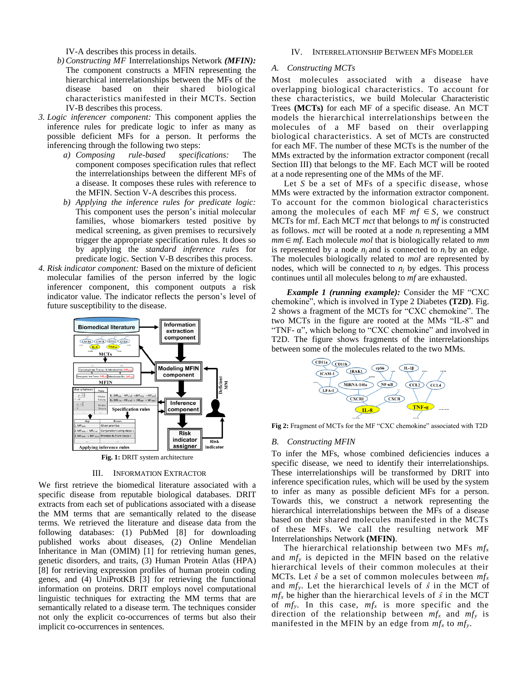IV-A describes this process in details.

- *b) Constructing MF* Interrelationships Network *(MFIN):* The component constructs a MFIN representing the hierarchical interrelationships between the MFs of the disease based on their shared biological characteristics manifested in their MCTs. Section IV-B describes this process.
- *3. Logic inferencer component:* This component applies the inference rules for predicate logic to infer as many as possible deficient MFs for a person. It performs the inferencing through the following two steps:
	- *a) Composing rule-based specifications:* The component composes specification rules that reflect the interrelationships between the different MFs of a disease. It composes these rules with reference to the MFIN. Section V-A describes this process.
	- *b) Applying the inference rules for predicate logic:* This component uses the person's initial molecular families, whose biomarkers tested positive by medical screening, as given premises to recursively trigger the appropriate specification rules. It does so by applying the *standard inference rules* for predicate logic. Section V-B describes this process.
- *4. Risk indicator component:* Based on the mixture of deficient molecular families of the person inferred by the logic inferencer component, this component outputs a risk indicator value. The indicator reflects the person's level of future susceptibility to the disease.



# III. INFORMATION EXTRACTOR

We first retrieve the biomedical literature associated with a specific disease from reputable biological databases. DRIT extracts from each set of publications associated with a disease the MM terms that are semantically related to the disease terms. We retrieved the literature and disease data from the following databases: (1) PubMed [8] for downloading published works about diseases, (2) Online Mendelian Inheritance in Man (OMIM) [1] for retrieving human genes, genetic disorders, and traits, (3) Human Protein Atlas (HPA) [8] for retrieving expression profiles of human protein coding genes, and (4) UniProtKB [3] for retrieving the functional information on proteins. DRIT employs novel computational linguistic techniques for extracting the MM terms that are semantically related to a disease term. The techniques consider not only the explicit co-occurrences of terms but also their implicit co-occurrences in sentences.

#### IV. INTERRELATIONSHIP BETWEEN MFS MODELER

#### *A. Constructing MCTs*

Most molecules associated with a disease have overlapping biological characteristics. To account for these characteristics, we build Molecular Characteristic Trees **(MCTs)** for each MF of a specific disease. An MCT models the hierarchical interrelationships between the molecules of a MF based on their overlapping biological characteristics. A set of MCTs are constructed for each MF. The number of these MCTs is the number of the MMs extracted by the information extractor component (recall Section III) that belongs to the MF. Each MCT will be rooted at a node representing one of the MMs of the MF.

Let *S* be a set of MFs of a specific disease, whose MMs were extracted by the information extractor component. To account for the common biological characteristics among the molecules of each MF  $mf \in S$ , we construct MCTs for mf. Each MCT *mct* that belongs to *mf* is constructed as follows. *mct* will be rooted at a node *ni* representing a MM  $mm \in mf$ . Each molecule *mol* that is biologically related to *mm* is represented by a node  $n_i$  and is connected to  $n_i$  by an edge. The molecules biologically related to *mol* are represented by nodes, which will be connected to  $n_i$  by edges. This process continues until all molecules belong to *mf* are exhausted.

 *Example 1 (running example):* Consider the MF "CXC chemokine", which is involved in Type 2 Diabetes **(T2D)**. Fig. 2 shows a fragment of the MCTs for "CXC chemokine". The two MCTs in the figure are rooted at the MMs "IL-8" and "TNF- $\alpha$ ", which belong to "CXC chemokine" and involved in T2D. The figure shows fragments of the interrelationships between some of the molecules related to the two MMs.



**Fig 2:** Fragment of MCTs for the MF "CXC chemokine" associated with T2D

## *B. Constructing MFIN*

To infer the MFs, whose combined deficiencies induces a specific disease, we need to identify their interrelationships. These interrelationships will be transformed by DRIT into inference specification rules, which will be used by the system to infer as many as possible deficient MFs for a person. Towards this, we construct a network representing the hierarchical interrelationships between the MFs of a disease based on their shared molecules manifested in the MCTs of these MFs. We call the resulting network MF Interrelationships Network **(MFIN)**.

The hierarchical relationship between two MFs *mf<sup>x</sup>* and *mf<sup>y</sup>* is depicted in the MFIN based on the relative hierarchical levels of their common molecules at their MCTs. Let *ŝ* be a set of common molecules between *mf<sup>x</sup>* and *mfy*. Let the hierarchical levels of *ŝ* in the MCT of  $m f<sub>x</sub>$  be higher than the hierarchical levels of  $\hat{s}$  in the MCT of *mfy*. In this case, *mf<sup>x</sup>* is more specific and the direction of the relationship between  $mf_x$  and  $mf_y$  is manifested in the MFIN by an edge from *mf<sup>x</sup>* to *mfy*.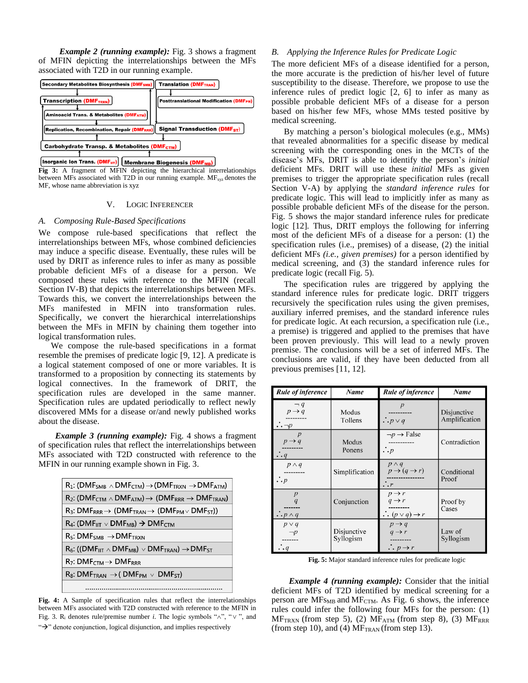*Example 2 (running example):* Fig. 3 shows a fragment of MFIN depicting the interrelationships between the MFs associated with T2D in our running example.



 $\boxed{\text{Inorganic Ion Trans.}(\text{DMF}_{\text{HT}})}$  Membrane Biogenesis (DMF<sub>MB</sub>)

**Fig 3:** A fragment of MFIN depicting the hierarchical interrelationships between MFs associated with T2D in our running example.  $MF_{xyz}$  denotes the MF, whose name abbreviation is xyz

## V. LOGIC INFERENCER

#### *A. Composing Rule-Based Specifications*

We compose rule-based specifications that reflect the interrelationships between MFs, whose combined deficiencies may induce a specific disease. Eventually, these rules will be used by DRIT as inference rules to infer as many as possible probable deficient MFs of a disease for a person. We composed these rules with reference to the MFIN (recall Section IV-B) that depicts the interrelationships between MFs. Towards this, we convert the interrelationships between the MFs manifested in MFIN into transformation rules. Specifically, we convert the hierarchical interrelationships between the MFs in MFIN by chaining them together into logical transformation rules.

We compose the rule-based specifications in a format resemble the premises of predicate logic [9, 12]. A predicate is a logical statement composed of one or more variables. It is transformed to a proposition by connecting its statements by logical connectives. In the framework of DRIT, the specification rules are developed in the same manner. Specification rules are updated periodically to reflect newly discovered MMs for a disease or/and newly published works about the disease.

 *Example 3 (running example):* Fig. 4 shows a fragment of specification rules that reflect the interrelationships between MFs associated with T2D constructed with reference to the MFIN in our running example shown in Fig. 3.



**Fig. 4:** A Sample of specification rules that reflect the interrelationships between MFs associated with T2D constructed with reference to the MFIN in Fig. 3.  $R_i$  denotes rule/premise number *i*. The logic symbols " $\wedge$ ", " $\vee$ ", and

"→" denote conjunction, logical disjunction, and implies respectively

# *B. Applying the Inference Rules for Predicate Logic*

The more deficient MFs of a disease identified for a person, the more accurate is the prediction of his/her level of future susceptibility to the disease. Therefore, we propose to use the inference rules of predict logic [2, 6] to infer as many as possible probable deficient MFs of a disease for a person based on his/her few MFs, whose MMs tested positive by medical screening.

By matching a person's biological molecules (e.g., MMs) that revealed abnormalities for a specific disease by medical screening with the corresponding ones in the MCTs of the disease's MFs, DRIT is able to identify the person's *initial* deficient MFs. DRIT will use these *initial* MFs as given premises to trigger the appropriate specification rules (recall Section V-A) by applying the *standard inference rules* for predicate logic. This will lead to implicitly infer as many as possible probable deficient MFs of the disease for the person. Fig. 5 shows the major standard inference rules for predicate logic [12]*.* Thus, DRIT employs the following for inferring most of the deficient MFs of a disease for a person: (1) the specification rules (i.e., premises) of a disease, (2) the initial deficient MFs *(i.e., given premises)* for a person identified by medical screening, and (3) the standard inference rules for predicate logic (recall Fig. 5).

The specification rules are triggered by applying the standard inference rules for predicate logic. DRIT triggers recursively the specification rules using the given premises, auxiliary inferred premises, and the standard inference rules for predicate logic. At each recursion, a specification rule (i.e., a premise) is triggered and applied to the premises that have been proven previously. This will lead to a newly proven premise. The conclusions will be a set of inferred MFs. The conclusions are valid, if they have been deducted from all previous premises [11, 12].

| <b>Rule of inference</b>                           | <b>Name</b>              | <b>Rule of inference</b>                                                          | Name                         |
|----------------------------------------------------|--------------------------|-----------------------------------------------------------------------------------|------------------------------|
| $\neg q$<br>$p \rightarrow q$<br>$\neg p$          | Modus<br>Tollens         | p<br>$\cdot \cdot p \vee q$                                                       | Disjunctive<br>Amplification |
| $\boldsymbol{p}$<br>$p \rightarrow q$<br>$\cdot q$ | Modus<br>Ponens          | $\neg p \rightarrow$ False<br>$\cdot \cdot p$                                     | Contradiction                |
| $p \wedge q$<br>$\cdot p$                          | Simplification           | $p \wedge q$<br>$p \rightarrow (q \rightarrow r)$<br>$\cdot \cdot r$              | Conditional<br>Proof         |
| $\overline{p}$<br>$\cdot \cdot p \wedge q$         | Conjunction              | $p \rightarrow r$<br>$q \rightarrow r$<br>$\therefore$ $(p \vee q) \rightarrow r$ | Proof by<br>Cases            |
| $p \vee q$<br>$\cdot q$                            | Disjunctive<br>Syllogism | $p \rightarrow q$<br>$q \rightarrow r$<br>$\ldots p \rightarrow r$                | Law of<br>Syllogism          |

 **Fig. 5:** Major standard inference rules for predicate logic

 *Example 4 (running example):* Consider that the initial deficient MFs of T2D identified by medical screening for a person are MFsMB and MFCTM. As Fig. 6 shows, the inference rules could infer the following four MFs for the person: (1)  $MF_{TRXN}$  (from step 5), (2)  $MF_{ATM}$  (from step 8), (3)  $MF_{RRR}$ (from step 10), and (4)  $MF<sub>TRAN</sub>$  (from step 13).